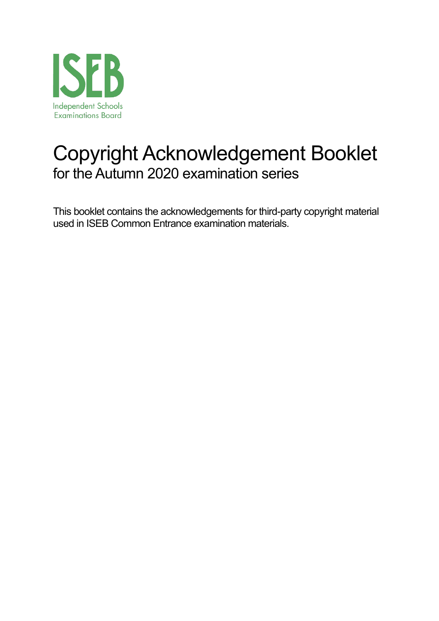

# Copyright Acknowledgement Booklet for the Autumn 2020 examination series

This booklet contains the acknowledgements for third-party copyright material used in ISEB Common Entrance examination materials.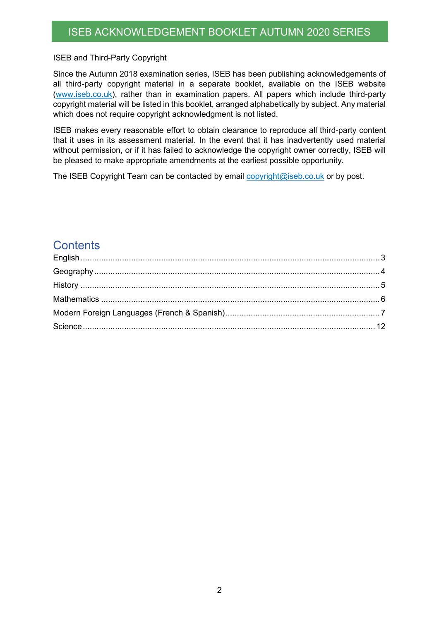#### ISEB and Third-Party Copyright

Since the Autumn 2018 examination series, ISEB has been publishing acknowledgements of all third-party copyright material in a separate booklet, available on the ISEB website (www.iseb.co.uk), rather than in examination papers. All papers which include third-party copyright material will be listed in this booklet, arranged alphabetically by subject. Any material which does not require copyright acknowledgment is not listed.

ISEB makes every reasonable effort to obtain clearance to reproduce all third-party content that it uses in its assessment material. In the event that it has inadvertently used material without permission, or if it has failed to acknowledge the copyright owner correctly, ISEB will be pleased to make appropriate amendments at the earliest possible opportunity.

The ISEB Copyright Team can be contacted by email copyright@iseb.co.uk or by post.

#### **Contents**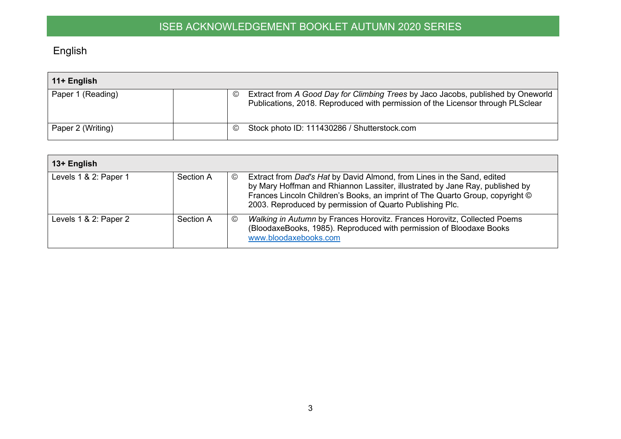# English

| 11+ English       |                                                                                                                                                                                      |
|-------------------|--------------------------------------------------------------------------------------------------------------------------------------------------------------------------------------|
| Paper 1 (Reading) | Extract from A Good Day for Climbing Trees by Jaco Jacobs, published by Oneworld<br>$\circled{c}$<br>Publications, 2018. Reproduced with permission of the Licensor through PLSclear |
| Paper 2 (Writing) | Stock photo ID: 111430286 / Shutterstock.com<br>$\odot$                                                                                                                              |

<span id="page-2-0"></span>

| 13+ English           |           |                                                                                                                                                                                                                                                                                                                |
|-----------------------|-----------|----------------------------------------------------------------------------------------------------------------------------------------------------------------------------------------------------------------------------------------------------------------------------------------------------------------|
| Levels 1 & 2: Paper 1 | Section A | Extract from Dad's Hat by David Almond, from Lines in the Sand, edited<br>$\odot$<br>by Mary Hoffman and Rhiannon Lassiter, illustrated by Jane Ray, published by<br>Frances Lincoln Children's Books, an imprint of The Quarto Group, copyright ©<br>2003. Reproduced by permission of Quarto Publishing Plc. |
| Levels 1 & 2: Paper 2 | Section A | Walking in Autumn by Frances Horovitz. Frances Horovitz, Collected Poems<br>$\rm (C)$<br>(BloodaxeBooks, 1985). Reproduced with permission of Bloodaxe Books<br>www.bloodaxebooks.com                                                                                                                          |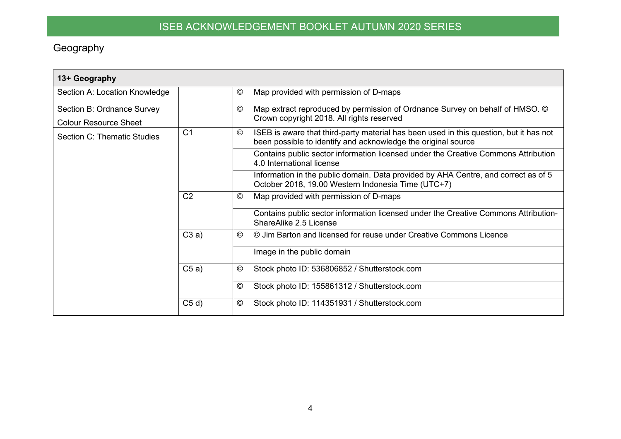## Geography

<span id="page-3-0"></span>

| 13+ Geography                      |                |               |                                                                                                                                                         |
|------------------------------------|----------------|---------------|---------------------------------------------------------------------------------------------------------------------------------------------------------|
| Section A: Location Knowledge      |                | $\odot$       | Map provided with permission of D-maps                                                                                                                  |
| Section B: Ordnance Survey         |                | $\odot$       | Map extract reproduced by permission of Ordnance Survey on behalf of HMSO. ©                                                                            |
| <b>Colour Resource Sheet</b>       |                |               | Crown copyright 2018. All rights reserved                                                                                                               |
| <b>Section C: Thematic Studies</b> | C <sub>1</sub> | $^\copyright$ | ISEB is aware that third-party material has been used in this question, but it has not<br>been possible to identify and acknowledge the original source |
|                                    |                |               | Contains public sector information licensed under the Creative Commons Attribution<br>4.0 International license                                         |
|                                    |                |               | Information in the public domain. Data provided by AHA Centre, and correct as of 5<br>October 2018, 19.00 Western Indonesia Time (UTC+7)                |
|                                    | C <sub>2</sub> | $^\copyright$ | Map provided with permission of D-maps                                                                                                                  |
|                                    |                |               | Contains public sector information licensed under the Creative Commons Attribution-<br>ShareAlike 2.5 License                                           |
|                                    | C3a)           | $\odot$       | © Jim Barton and licensed for reuse under Creative Commons Licence                                                                                      |
|                                    |                |               | Image in the public domain                                                                                                                              |
|                                    | C5a)           | $^{\circ}$    | Stock photo ID: 536806852 / Shutterstock.com                                                                                                            |
|                                    |                | $\odot$       | Stock photo ID: 155861312 / Shutterstock.com                                                                                                            |
|                                    | C5 d           | ©             | Stock photo ID: 114351931 / Shutterstock.com                                                                                                            |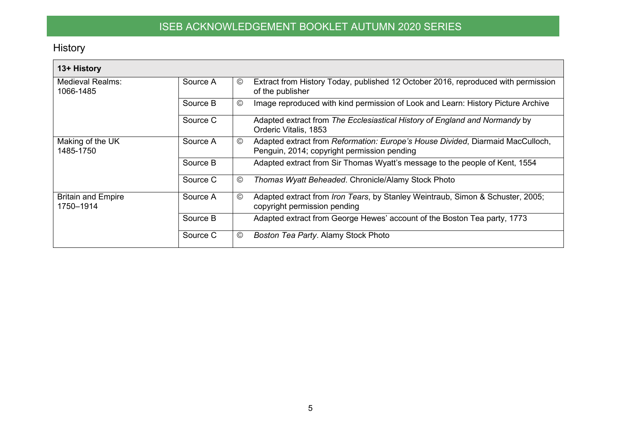History

<span id="page-4-0"></span>

| 13+ History                            |          |                                                                                                                                                |
|----------------------------------------|----------|------------------------------------------------------------------------------------------------------------------------------------------------|
| Medieval Realms:<br>1066-1485          | Source A | Extract from History Today, published 12 October 2016, reproduced with permission<br>©<br>of the publisher                                     |
|                                        | Source B | $^{\circledR}$<br>Image reproduced with kind permission of Look and Learn: History Picture Archive                                             |
|                                        | Source C | Adapted extract from The Ecclesiastical History of England and Normandy by<br>Orderic Vitalis, 1853                                            |
| Making of the UK<br>1485-1750          | Source A | Adapted extract from Reformation: Europe's House Divided, Diarmaid MacCulloch,<br>$^\copyright$<br>Penguin, 2014; copyright permission pending |
|                                        | Source B | Adapted extract from Sir Thomas Wyatt's message to the people of Kent, 1554                                                                    |
|                                        | Source C | $\circledcirc$<br>Thomas Wyatt Beheaded. Chronicle/Alamy Stock Photo                                                                           |
| <b>Britain and Empire</b><br>1750-1914 | Source A | $\circledcirc$<br>Adapted extract from Iron Tears, by Stanley Weintraub, Simon & Schuster, 2005;<br>copyright permission pending               |
|                                        | Source B | Adapted extract from George Hewes' account of the Boston Tea party, 1773                                                                       |
|                                        | Source C | Boston Tea Party. Alamy Stock Photo<br>$^\copyright$                                                                                           |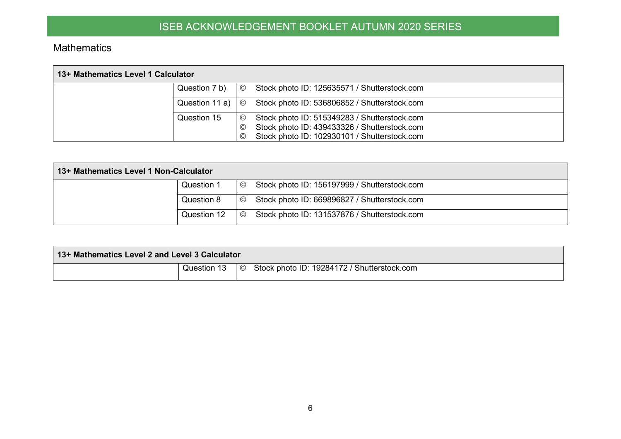#### **Mathematics**

| 13+ Mathematics Level 1 Calculator |                |                |                                                                                                                                              |  |  |  |  |
|------------------------------------|----------------|----------------|----------------------------------------------------------------------------------------------------------------------------------------------|--|--|--|--|
|                                    | Question 7 b)  | $_{\odot}$     | Stock photo ID: 125635571 / Shutterstock.com                                                                                                 |  |  |  |  |
|                                    | Question 11 a) | $\circledcirc$ | Stock photo ID: 536806852 / Shutterstock.com                                                                                                 |  |  |  |  |
|                                    | Question 15    | ©<br>©<br>©    | Stock photo ID: 515349283 / Shutterstock.com<br>Stock photo ID: 439433326 / Shutterstock.com<br>Stock photo ID: 102930101 / Shutterstock.com |  |  |  |  |

| 13+ Mathematics Level 1 Non-Calculator |             |         |                                              |  |  |  |  |
|----------------------------------------|-------------|---------|----------------------------------------------|--|--|--|--|
|                                        | Question 1  | $\odot$ | Stock photo ID: 156197999 / Shutterstock.com |  |  |  |  |
|                                        | Question 8  | $\odot$ | Stock photo ID: 669896827 / Shutterstock.com |  |  |  |  |
|                                        | Question 12 | $\odot$ | Stock photo ID: 131537876 / Shutterstock.com |  |  |  |  |

<span id="page-5-0"></span>

| 13+ Mathematics Level 2 and Level 3 Calculator |  |                                                             |
|------------------------------------------------|--|-------------------------------------------------------------|
|                                                |  | Question 13   © Stock photo ID: 19284172 / Shutterstock.com |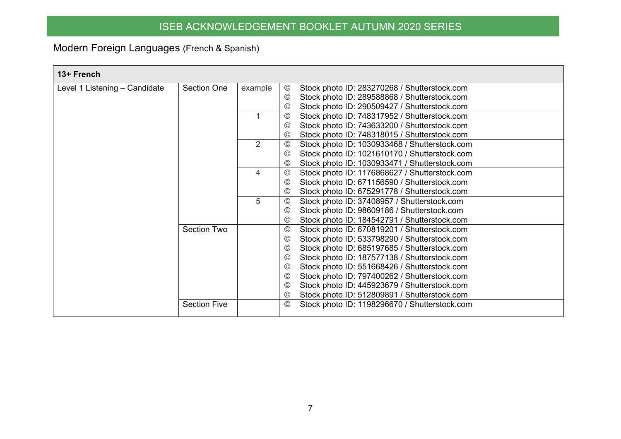## Modern Foreign Languages (French & Spanish)

<span id="page-6-0"></span>

| 13+ French                    |                     |         |                |                                               |
|-------------------------------|---------------------|---------|----------------|-----------------------------------------------|
| Level 1 Listening - Candidate | <b>Section One</b>  | example | $\circledcirc$ | Stock photo ID: 283270268 / Shutterstock.com  |
|                               |                     |         | $\odot$        | Stock photo ID: 289588868 / Shutterstock.com  |
|                               |                     |         | $\circledcirc$ | Stock photo ID: 290509427 / Shutterstock.com  |
|                               |                     |         | $^{\circledR}$ | Stock photo ID: 748317952 / Shutterstock.com  |
|                               |                     |         | $\odot$        | Stock photo ID: 743633200 / Shutterstock.com  |
|                               |                     |         | $\odot$        | Stock photo ID: 748318015 / Shutterstock.com  |
|                               |                     | 2       | $\circledcirc$ | Stock photo ID: 1030933468 / Shutterstock.com |
|                               |                     |         | $\odot$        | Stock photo ID: 1021610170 / Shutterstock.com |
|                               |                     |         | $\odot$        | Stock photo ID: 1030933471 / Shutterstock.com |
|                               |                     | 4       | $^{\circledR}$ | Stock photo ID: 1176868627 / Shutterstock.com |
|                               |                     |         | $\circledcirc$ | Stock photo ID: 671156590 / Shutterstock.com  |
|                               |                     |         | $\circledcirc$ | Stock photo ID: 675291778 / Shutterstock.com  |
|                               |                     | 5       | $\circledcirc$ | Stock photo ID: 37408957 / Shutterstock.com   |
|                               |                     |         | $\odot$        | Stock photo ID: 98609186 / Shutterstock.com   |
|                               |                     |         | $\odot$        | Stock photo ID: 184542791 / Shutterstock.com  |
|                               | <b>Section Two</b>  |         | $\odot$        | Stock photo ID: 670819201 / Shutterstock.com  |
|                               |                     |         | $\circledcirc$ | Stock photo ID: 533798290 / Shutterstock.com  |
|                               |                     |         | $\odot$        | Stock photo ID: 685197685 / Shutterstock.com  |
|                               |                     |         | $\odot$        | Stock photo ID: 187577138 / Shutterstock.com  |
|                               |                     |         | $\odot$        | Stock photo ID: 551668426 / Shutterstock.com  |
|                               |                     |         | $\odot$        | Stock photo ID: 797400262 / Shutterstock.com  |
|                               |                     |         | $\odot$        | Stock photo ID: 445923679 / Shutterstock.com  |
|                               |                     |         | $\circledcirc$ | Stock photo ID: 512809891 / Shutterstock.com  |
|                               | <b>Section Five</b> |         | $\odot$        | Stock photo ID: 1198296670 / Shutterstock.com |
|                               |                     |         |                |                                               |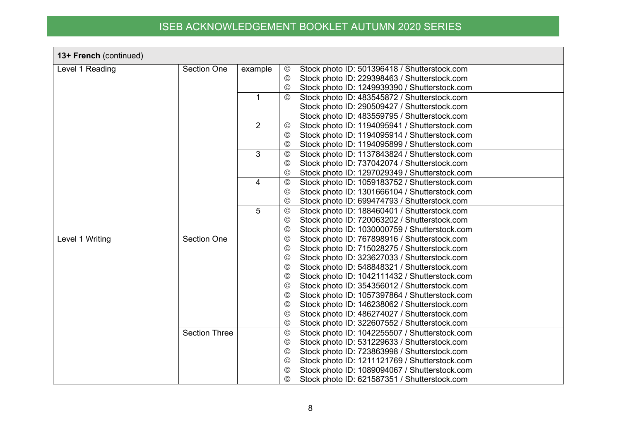| 13+ French (continued) |                      |                |                 |                                               |
|------------------------|----------------------|----------------|-----------------|-----------------------------------------------|
| Level 1 Reading        | <b>Section One</b>   | example        | $\circledcirc$  | Stock photo ID: 501396418 / Shutterstock.com  |
|                        |                      |                | $^{\circledR}$  | Stock photo ID: 229398463 / Shutterstock.com  |
|                        |                      |                | $\circledcirc$  | Stock photo ID: 1249939390 / Shutterstock.com |
|                        |                      |                | $\circledcirc$  | Stock photo ID: 483545872 / Shutterstock.com  |
|                        |                      |                |                 | Stock photo ID: 290509427 / Shutterstock.com  |
|                        |                      |                |                 | Stock photo ID: 483559795 / Shutterstock.com  |
|                        |                      | $\overline{2}$ | $^\copyright$   | Stock photo ID: 1194095941 / Shutterstock.com |
|                        |                      |                | $\circledcirc$  | Stock photo ID: 1194095914 / Shutterstock.com |
|                        |                      |                | $\circledcirc$  | Stock photo ID: 1194095899 / Shutterstock.com |
|                        |                      | 3              | $^\copyright$   | Stock photo ID: 1137843824 / Shutterstock.com |
|                        |                      |                | ©               | Stock photo ID: 737042074 / Shutterstock.com  |
|                        |                      |                | $\circledcirc$  | Stock photo ID: 1297029349 / Shutterstock.com |
|                        |                      | 4              | $^{\circledR}$  | Stock photo ID: 1059183752 / Shutterstock.com |
|                        |                      |                | ©               | Stock photo ID: 1301666104 / Shutterstock.com |
|                        |                      |                | $^{\circledR}$  | Stock photo ID: 699474793 / Shutterstock.com  |
|                        |                      | 5              | $^{\circledR}$  | Stock photo ID: 188460401 / Shutterstock.com  |
|                        |                      |                | $\circledcirc$  | Stock photo ID: 720063202 / Shutterstock.com  |
|                        |                      |                | $\circledcirc$  | Stock photo ID: 1030000759 / Shutterstock.com |
| Level 1 Writing        | <b>Section One</b>   |                | $^{\circledR}$  | Stock photo ID: 767898916 / Shutterstock.com  |
|                        |                      |                | $^\copyright$   | Stock photo ID: 715028275 / Shutterstock.com  |
|                        |                      |                | $\circledcirc$  | Stock photo ID: 323627033 / Shutterstock.com  |
|                        |                      |                | ©               | Stock photo ID: 548848321 / Shutterstock.com  |
|                        |                      |                | ©               | Stock photo ID: 1042111432 / Shutterstock.com |
|                        |                      |                | $^{\circledR}$  | Stock photo ID: 354356012 / Shutterstock.com  |
|                        |                      |                | $^\copyright$   | Stock photo ID: 1057397864 / Shutterstock.com |
|                        |                      |                | $\circledcirc$  | Stock photo ID: 146238062 / Shutterstock.com  |
|                        |                      |                | $\circledcirc$  | Stock photo ID: 486274027 / Shutterstock.com  |
|                        |                      |                | $\circledcirc$  | Stock photo ID: 322607552 / Shutterstock.com  |
|                        | <b>Section Three</b> |                | $_{\mathbb{C}}$ | Stock photo ID: 1042255507 / Shutterstock.com |
|                        |                      |                | ©               | Stock photo ID: 531229633 / Shutterstock.com  |
|                        |                      |                | ©               | Stock photo ID: 723863998 / Shutterstock.com  |
|                        |                      |                | ©               | Stock photo ID: 1211121769 / Shutterstock.com |
|                        |                      |                | $^\copyright$   | Stock photo ID: 1089094067 / Shutterstock.com |
|                        |                      |                | ◎               | Stock photo ID: 621587351 / Shutterstock.com  |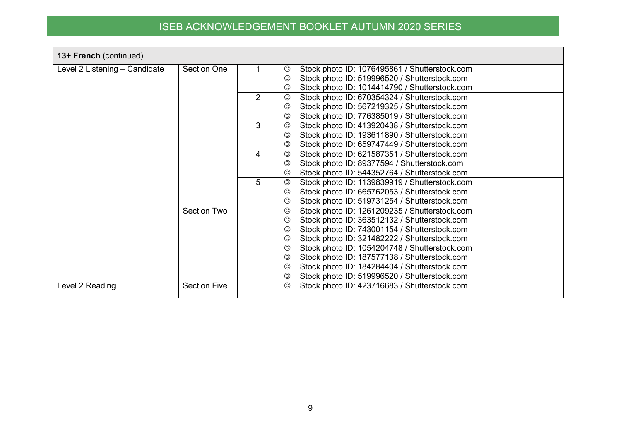| 13+ French (continued)        |                     |                |                                                                 |
|-------------------------------|---------------------|----------------|-----------------------------------------------------------------|
| Level 2 Listening - Candidate | <b>Section One</b>  |                | Stock photo ID: 1076495861 / Shutterstock.com<br>©              |
|                               |                     |                | Stock photo ID: 519996520 / Shutterstock.com<br>©               |
|                               |                     |                | Stock photo ID: 1014414790 / Shutterstock.com<br>$\circledcirc$ |
|                               |                     | $\overline{2}$ | Stock photo ID: 670354324 / Shutterstock.com<br>$^{\circledR}$  |
|                               |                     |                | Stock photo ID: 567219325 / Shutterstock.com<br>$\circledcirc$  |
|                               |                     |                | Stock photo ID: 776385019 / Shutterstock.com<br>$\circledcirc$  |
|                               |                     | 3              | Stock photo ID: 413920438 / Shutterstock.com<br>◎               |
|                               |                     |                | Stock photo ID: 193611890 / Shutterstock.com<br>$\circledcirc$  |
|                               |                     |                | Stock photo ID: 659747449 / Shutterstock.com<br>©               |
|                               |                     | 4              | Stock photo ID: 621587351 / Shutterstock.com<br>$\circledcirc$  |
|                               |                     |                | Stock photo ID: 89377594 / Shutterstock.com<br>©                |
|                               |                     |                | Stock photo ID: 544352764 / Shutterstock.com<br>$\circledcirc$  |
|                               |                     | 5              | Stock photo ID: 1139839919 / Shutterstock.com<br>◎              |
|                               |                     |                | Stock photo ID: 665762053 / Shutterstock.com<br>©               |
|                               |                     |                | Stock photo ID: 519731254 / Shutterstock.com<br>$\circledcirc$  |
|                               | <b>Section Two</b>  |                | Stock photo ID: 1261209235 / Shutterstock.com<br>$\circledcirc$ |
|                               |                     |                | Stock photo ID: 363512132 / Shutterstock.com<br>©               |
|                               |                     |                | Stock photo ID: 743001154 / Shutterstock.com<br>$\circledcirc$  |
|                               |                     |                | Stock photo ID: 321482222 / Shutterstock.com<br>$\circledcirc$  |
|                               |                     |                | Stock photo ID: 1054204748 / Shutterstock.com<br>$\circledcirc$ |
|                               |                     |                | Stock photo ID: 187577138 / Shutterstock.com<br>©               |
|                               |                     |                | Stock photo ID: 184284404 / Shutterstock.com<br>©               |
|                               |                     |                | Stock photo ID: 519996520 / Shutterstock.com<br>$\circledcirc$  |
| Level 2 Reading               | <b>Section Five</b> |                | Stock photo ID: 423716683 / Shutterstock.com<br>$\circledcirc$  |
|                               |                     |                |                                                                 |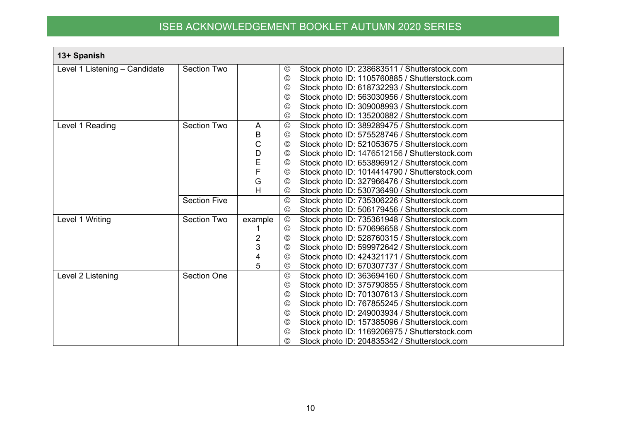| 13+ Spanish                   |                     |                |                 |                                               |
|-------------------------------|---------------------|----------------|-----------------|-----------------------------------------------|
| Level 1 Listening - Candidate | <b>Section Two</b>  |                | ©               | Stock photo ID: 238683511 / Shutterstock.com  |
|                               |                     |                | $\circledcirc$  | Stock photo ID: 1105760885 / Shutterstock.com |
|                               |                     |                | ©               | Stock photo ID: 618732293 / Shutterstock.com  |
|                               |                     |                | ©               | Stock photo ID: 563030956 / Shutterstock.com  |
|                               |                     |                | $\circledcirc$  | Stock photo ID: 309008993 / Shutterstock.com  |
|                               |                     |                | $_{\odot}$      | Stock photo ID: 135200882 / Shutterstock.com  |
| Level 1 Reading               | Section Two         | A              | $^{\circledR}$  | Stock photo ID: 389289475 / Shutterstock.com  |
|                               |                     | B              | $^\copyright$   | Stock photo ID: 575528746 / Shutterstock.com  |
|                               |                     | C              | ©               | Stock photo ID: 521053675 / Shutterstock.com  |
|                               |                     | D              | ©               | Stock photo ID: 1476512156 / Shutterstock.com |
|                               |                     | E              | $\circledcirc$  | Stock photo ID: 653896912 / Shutterstock.com  |
|                               |                     | F              | $\circledcirc$  | Stock photo ID: 1014414790 / Shutterstock.com |
|                               |                     | G              | $^{\circ}$      | Stock photo ID: 327966476 / Shutterstock.com  |
|                               |                     | Н              | $^{\circ}$      | Stock photo ID: 530736490 / Shutterstock.com  |
|                               | <b>Section Five</b> |                | $\odot$         | Stock photo ID: 735306226 / Shutterstock.com  |
|                               |                     |                | ©               | Stock photo ID: 506179456 / Shutterstock.com  |
| Level 1 Writing               | <b>Section Two</b>  | example        | $^{\circledR}$  | Stock photo ID: 735361948 / Shutterstock.com  |
|                               |                     |                | ©               | Stock photo ID: 570696658 / Shutterstock.com  |
|                               |                     | $\overline{2}$ | ©               | Stock photo ID: 528760315 / Shutterstock.com  |
|                               |                     | 3              | $^\copyright$   | Stock photo ID: 599972642 / Shutterstock.com  |
|                               |                     |                | $^{\circ}$      | Stock photo ID: 424321171 / Shutterstock.com  |
|                               |                     | 5              | $^{\circ}$      | Stock photo ID: 670307737 / Shutterstock.com  |
| Level 2 Listening             | <b>Section One</b>  |                | $\odot$         | Stock photo ID: 363694160 / Shutterstock.com  |
|                               |                     |                | $\circledcirc$  | Stock photo ID: 375790855 / Shutterstock.com  |
|                               |                     |                | ©               | Stock photo ID: 701307613 / Shutterstock.com  |
|                               |                     |                | $\circledcirc$  | Stock photo ID: 767855245 / Shutterstock.com  |
|                               |                     |                | $\circledcirc$  | Stock photo ID: 249003934 / Shutterstock.com  |
|                               |                     |                | $^{\circledR}$  | Stock photo ID: 157385096 / Shutterstock.com  |
|                               |                     |                | $_{\mathbb{C}}$ | Stock photo ID: 1169206975 / Shutterstock.com |
|                               |                     |                | ©               | Stock photo ID: 204835342 / Shutterstock.com  |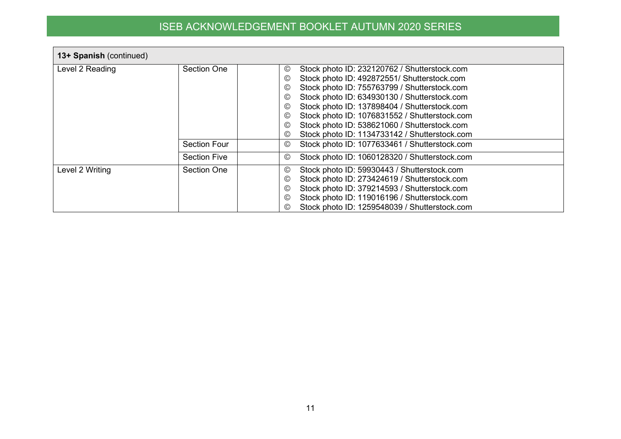| 13+ Spanish (continued) |                     |                                                                                                                                                                                                                                                                                                                                                                                                                                                                                                                                               |  |  |  |
|-------------------------|---------------------|-----------------------------------------------------------------------------------------------------------------------------------------------------------------------------------------------------------------------------------------------------------------------------------------------------------------------------------------------------------------------------------------------------------------------------------------------------------------------------------------------------------------------------------------------|--|--|--|
| Level 2 Reading         | Section One         | Stock photo ID: 232120762 / Shutterstock.com<br>$_{\mathbb{C}}$<br>Stock photo ID: 492872551/ Shutterstock.com<br>$\circledcirc$<br>Stock photo ID: 755763799 / Shutterstock.com<br>$\circledcirc$<br>Stock photo ID: 634930130 / Shutterstock.com<br>$^{\copyright}$<br>Stock photo ID: 137898404 / Shutterstock.com<br>$^{\circ}$<br>Stock photo ID: 1076831552 / Shutterstock.com<br>$\circledcirc$<br>Stock photo ID: 538621060 / Shutterstock.com<br>$^{\copyright}$<br>Stock photo ID: 1134733142 / Shutterstock.com<br>$_{\mathbb{C}}$ |  |  |  |
|                         | <b>Section Four</b> | Stock photo ID: 1077633461 / Shutterstock.com<br>$\circledcirc$                                                                                                                                                                                                                                                                                                                                                                                                                                                                               |  |  |  |
|                         | <b>Section Five</b> | Stock photo ID: 1060128320 / Shutterstock.com<br>©                                                                                                                                                                                                                                                                                                                                                                                                                                                                                            |  |  |  |
| Level 2 Writing         | Section One         | Stock photo ID: 59930443 / Shutterstock.com<br>$_{\mathbb{C}}$<br>Stock photo ID: 273424619 / Shutterstock.com<br>$\circledcirc$<br>Stock photo ID: 379214593 / Shutterstock.com<br>$^{\copyright}$<br>Stock photo ID: 119016196 / Shutterstock.com<br>$^{\copyright}$<br>Stock photo ID: 1259548039 / Shutterstock.com<br>©                                                                                                                                                                                                                  |  |  |  |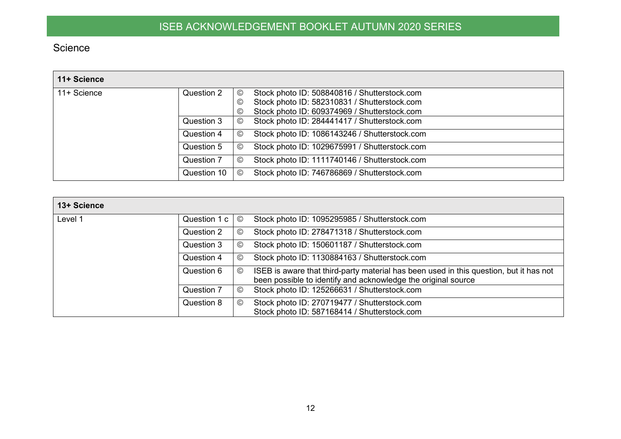## Science

| 11+ Science |             |                 |                                               |
|-------------|-------------|-----------------|-----------------------------------------------|
| 11+ Science | Question 2  | $_{\mathbb{O}}$ | Stock photo ID: 508840816 / Shutterstock.com  |
|             |             | ©               | Stock photo ID: 582310831 / Shutterstock.com  |
|             |             | ◎               | Stock photo ID: 609374969 / Shutterstock.com  |
|             | Question 3  | $\circled{c}$   | Stock photo ID: 284441417 / Shutterstock.com  |
|             | Question 4  | ©               | Stock photo ID: 1086143246 / Shutterstock.com |
|             | Question 5  | ©               | Stock photo ID: 1029675991 / Shutterstock.com |
|             | Question 7  | ©               | Stock photo ID: 1111740146 / Shutterstock.com |
|             | Question 10 | ◎               | Stock photo ID: 746786869 / Shutterstock.com  |

<span id="page-11-0"></span>

| 13+ Science |              |                |                                                                                                                                                         |
|-------------|--------------|----------------|---------------------------------------------------------------------------------------------------------------------------------------------------------|
| Level 1     | Question 1 c | $^{\circledR}$ | Stock photo ID: 1095295985 / Shutterstock.com                                                                                                           |
|             | Question 2   | ©              | Stock photo ID: 278471318 / Shutterstock.com                                                                                                            |
|             | Question 3   | $\circledcirc$ | Stock photo ID: 150601187 / Shutterstock.com                                                                                                            |
|             | Question 4   | $\odot$        | Stock photo ID: 1130884163 / Shutterstock.com                                                                                                           |
|             | Question 6   | $\odot$        | ISEB is aware that third-party material has been used in this question, but it has not<br>been possible to identify and acknowledge the original source |
|             | Question 7   | $\circled{c}$  | Stock photo ID: 125266631 / Shutterstock.com                                                                                                            |
|             | Question 8   | $\circled{c}$  | Stock photo ID: 270719477 / Shutterstock.com<br>Stock photo ID: 587168414 / Shutterstock.com                                                            |